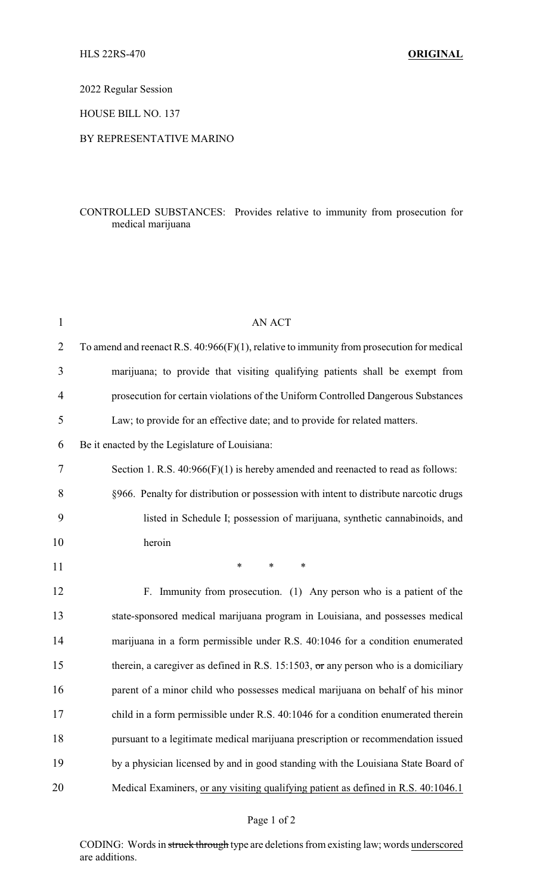2022 Regular Session

HOUSE BILL NO. 137

### BY REPRESENTATIVE MARINO

# CONTROLLED SUBSTANCES: Provides relative to immunity from prosecution for medical marijuana

| $\mathbf{1}$   | <b>AN ACT</b>                                                                                |
|----------------|----------------------------------------------------------------------------------------------|
| $\overline{2}$ | To amend and reenact R.S. $40:966(F)(1)$ , relative to immunity from prosecution for medical |
| 3              | marijuana; to provide that visiting qualifying patients shall be exempt from                 |
| 4              | prosecution for certain violations of the Uniform Controlled Dangerous Substances            |
| 5              | Law; to provide for an effective date; and to provide for related matters.                   |
| 6              | Be it enacted by the Legislature of Louisiana:                                               |
| 7              | Section 1. R.S. $40:966(F)(1)$ is hereby amended and reenacted to read as follows:           |
| 8              | §966. Penalty for distribution or possession with intent to distribute narcotic drugs        |
| 9              | listed in Schedule I; possession of marijuana, synthetic cannabinoids, and                   |
| 10             | heroin                                                                                       |
| 11             | $\ast$<br>$\ast$<br>*                                                                        |
| 12             | F. Immunity from prosecution. (1) Any person who is a patient of the                         |
| 13             |                                                                                              |
|                | state-sponsored medical marijuana program in Louisiana, and possesses medical                |
| 14             | marijuana in a form permissible under R.S. 40:1046 for a condition enumerated                |
| 15             | therein, a caregiver as defined in R.S. 15:1503, $\sigma$ r any person who is a domiciliary  |
| 16             | parent of a minor child who possesses medical marijuana on behalf of his minor               |
| 17             | child in a form permissible under R.S. 40:1046 for a condition enumerated therein            |
| 18             | pursuant to a legitimate medical marijuana prescription or recommendation issued             |
| 19             | by a physician licensed by and in good standing with the Louisiana State Board of            |

# Page 1 of 2

CODING: Words in struck through type are deletions from existing law; words underscored are additions.